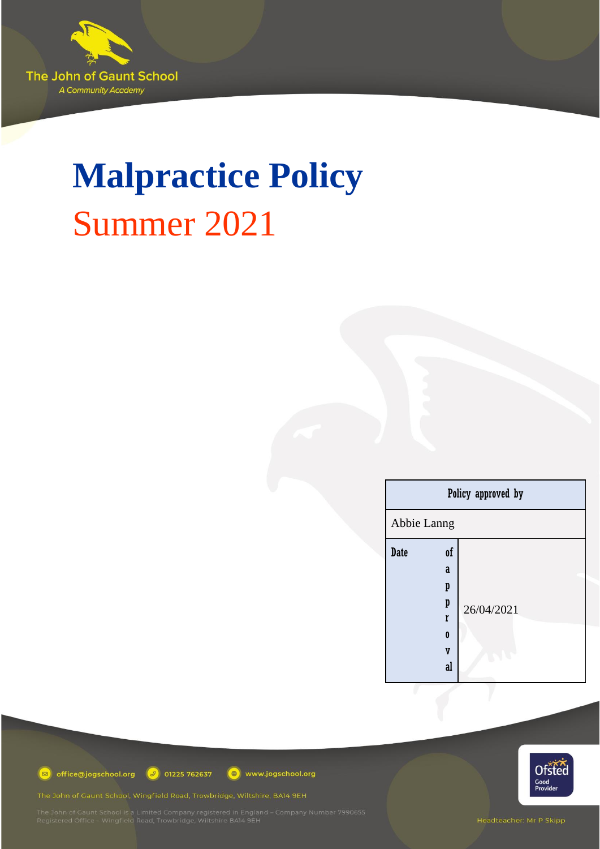

# **Malpractice Policy** Summer 2021

| Policy approved by                                                                 |            |
|------------------------------------------------------------------------------------|------------|
| Abbie Lanng                                                                        |            |
| <b>Date</b><br>0f<br>a<br>p<br>p<br>r<br>$\bf{0}$<br>$\overline{\mathbf{V}}$<br>al | 26/04/2021 |



office@jogschool.org 3 01225 762637

www.jogschool.org

The John of Gaunt School, Wingfield Road, Trowbridge, Wiltshire, BA14 9EH

Headteacher: Mr P Skipp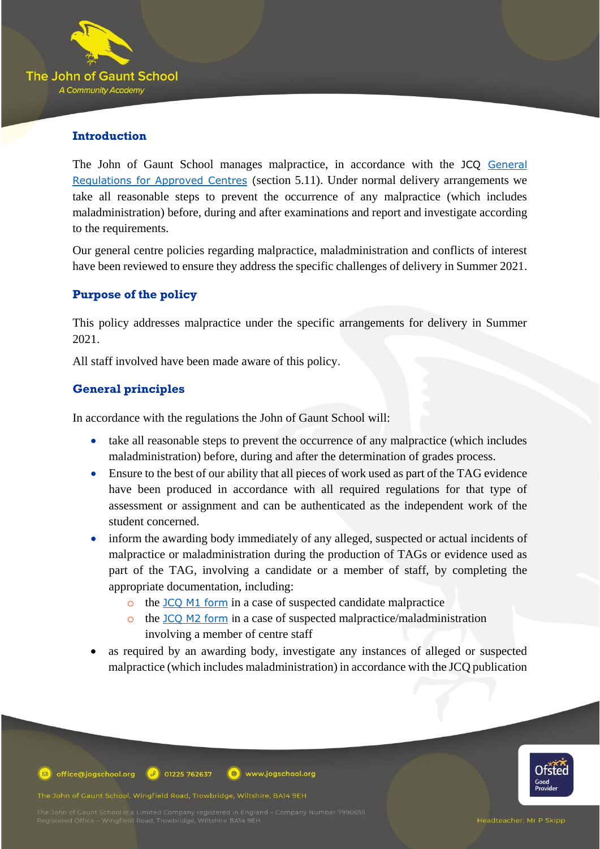

## **Introduction**

The John of Gaunt School manages malpractice, in accordance with the JCQ [General](https://www.jcq.org.uk/exams-office/general-regulations/)  [Regulations for Approved Centres](https://www.jcq.org.uk/exams-office/general-regulations/) (section 5.11). Under normal delivery arrangements we take all reasonable steps to prevent the occurrence of any malpractice (which includes maladministration) before, during and after examinations and report and investigate according to the requirements.

Our general centre policies regarding malpractice, maladministration and conflicts of interest have been reviewed to ensure they address the specific challenges of delivery in Summer 2021.

## **Purpose of the policy**

This policy addresses malpractice under the specific arrangements for delivery in Summer 2021.

All staff involved have been made aware of this policy.

## **General principles**

In accordance with the regulations the John of Gaunt School will:

- take all reasonable steps to prevent the occurrence of any malpractice (which includes maladministration) before, during and after the determination of grades process.
- Ensure to the best of our ability that all pieces of work used as part of the TAG evidence have been produced in accordance with all required regulations for that type of assessment or assignment and can be authenticated as the independent work of the student concerned.
- inform the awarding body immediately of any alleged, suspected or actual incidents of malpractice or maladministration during the production of TAGs or evidence used as part of the TAG, involving a candidate or a member of staff, by completing the appropriate documentation, including:
	- o the [JCQ M1 form](https://www.jcq.org.uk/exams-office/malpractice/) in a case of suspected candidate malpractice

www.jogschool.org

- o the [JCQ M2 form](https://www.jcq.org.uk/exams-office/malpractice/) in a case of suspected malpractice/maladministration involving a member of centre staff
- as required by an awarding body, investigate any instances of alleged or suspected malpractice (which includes maladministration) in accordance with the JCQ publication

office@jogschool.org  $\boxed{9}$  01225 762637

The John of Gaunt School, Wingfield Road, Trowbridge, Wiltshire, BA14 9EH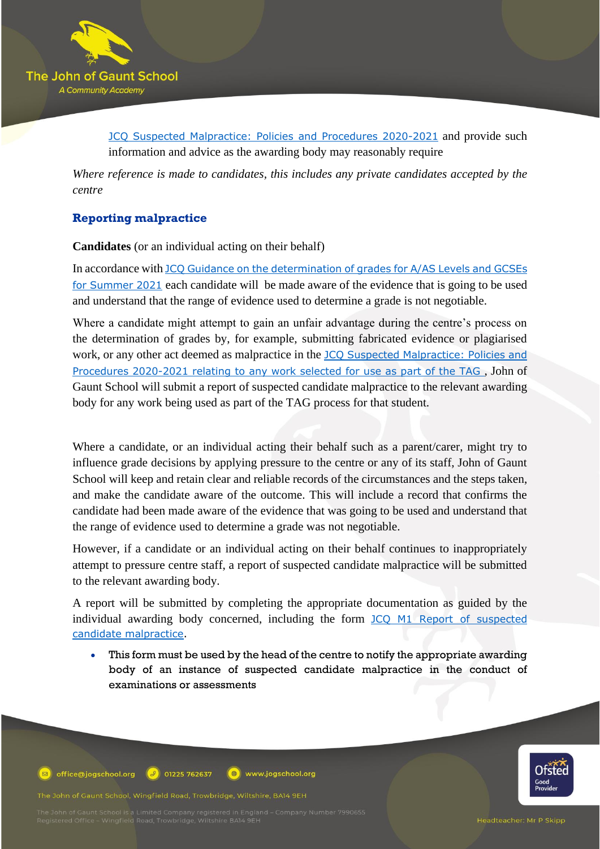

[JCQ Suspected Malpractice: Policies and Procedures 2020-2021](https://www.jcq.org.uk/exams-office/malpractice/) and provide such information and advice as the awarding body may reasonably require

*Where reference is made to candidates, this includes any private candidates accepted by the centre*

## **Reporting malpractice**

**Candidates** (or an individual acting on their behalf)

In accordance with [JCQ Guidance on the determination of grades for A/AS Levels and GCSEs](https://www.jcq.org.uk/summer-2021-arrangements/)  [for Summer 2021](https://www.jcq.org.uk/summer-2021-arrangements/) each candidate will be made aware of the evidence that is going to be used and understand that the range of evidence used to determine a grade is not negotiable.

Where a candidate might attempt to gain an unfair advantage during the centre's process on the determination of grades by, for example, submitting fabricated evidence or plagiarised work, or any other act deemed as malpractice in the [JCQ Suspected Malpractice: Policies and](https://www.jcq.org.uk/exams-office/malpractice/)  [Procedures 2020-2021](https://www.jcq.org.uk/exams-office/malpractice/) relating to any work selected for use as part of the TAG , John of Gaunt School will submit a report of suspected candidate malpractice to the relevant awarding body for any work being used as part of the TAG process for that student.

Where a candidate, or an individual acting their behalf such as a parent/carer, might try to influence grade decisions by applying pressure to the centre or any of its staff, John of Gaunt School will keep and retain clear and reliable records of the circumstances and the steps taken, and make the candidate aware of the outcome. This will include a record that confirms the candidate had been made aware of the evidence that was going to be used and understand that the range of evidence used to determine a grade was not negotiable.

However, if a candidate or an individual acting on their behalf continues to inappropriately attempt to pressure centre staff, a report of suspected candidate malpractice will be submitted to the relevant awarding body.

A report will be submitted by completing the appropriate documentation as guided by the individual awarding body concerned, including the form JCQ M1 Report of suspected [candidate malpractice.](https://www.jcq.org.uk/exams-office/malpractice/)

This form must be used by the head of the centre to notify the appropriate awarding body of an instance of suspected candidate malpractice in the conduct of examinations or assessments

office@jogschool.org  $\boxed{9}$  01225 762637 www.jogschool.org  $\bigoplus$ 

The John of Gaunt School, Wingfield Road, Trowbridge, Wiltshire, BA14 9EH

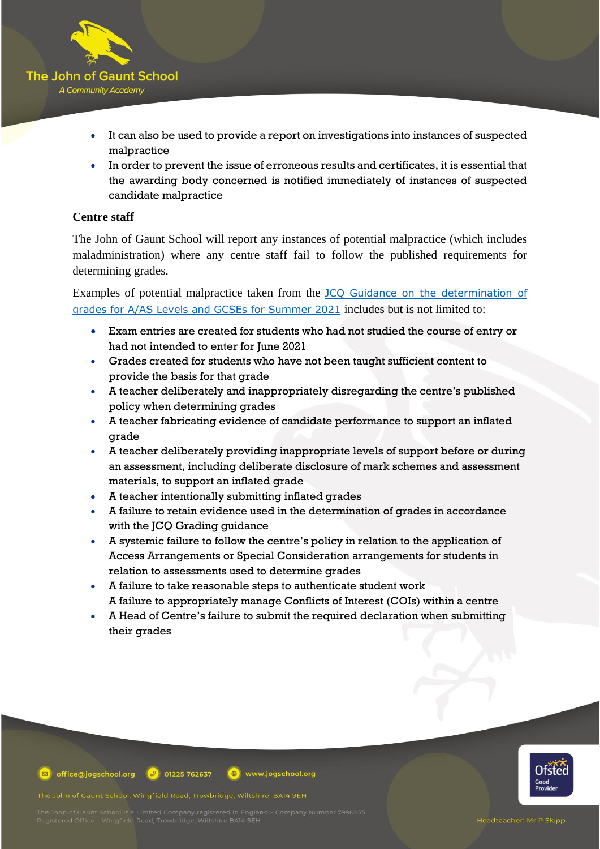

- It can also be used to provide a report on investigations into instances of suspected malpractice
- In order to prevent the issue of erroneous results and certificates, it is essential that the awarding body concerned is notified immediately of instances of suspected candidate malpractice

### **Centre staff**

The John of Gaunt School will report any instances of potential malpractice (which includes maladministration) where any centre staff fail to follow the published requirements for determining grades.

Examples of potential malpractice taken from the [JCQ Guidance on the determination of](https://www.jcq.org.uk/summer-2021-arrangements/)  [grades for A/AS Levels and GCSEs for Summer 2021](https://www.jcq.org.uk/summer-2021-arrangements/) includes but is not limited to:

- Exam entries are created for students who had not studied the course of entry or had not intended to enter for June 2021
- Grades created for students who have not been taught sufficient content to provide the basis for that grade
- A teacher deliberately and inappropriately disregarding the centre's published policy when determining grades
- A teacher fabricating evidence of candidate performance to support an inflated grade
- A teacher deliberately providing inappropriate levels of support before or during an assessment, including deliberate disclosure of mark schemes and assessment materials, to support an inflated grade
- A teacher intentionally submitting inflated grades
- A failure to retain evidence used in the determination of grades in accordance with the JCQ Grading guidance
- A systemic failure to follow the centre's policy in relation to the application of Access Arrangements or Special Consideration arrangements for students in relation to assessments used to determine grades
- A failure to take reasonable steps to authenticate student work A failure to appropriately manage Conflicts of Interest (COIs) within a centre
- A Head of Centre's failure to submit the required declaration when submitting their grades



office@jogschool.org  $\boxed{9}$  01225 762637  $\circledR$  www.jogschool.org

The John of Gaunt School, Wingfield Road, Trowbridge, Wiltshire, BA14 9EH